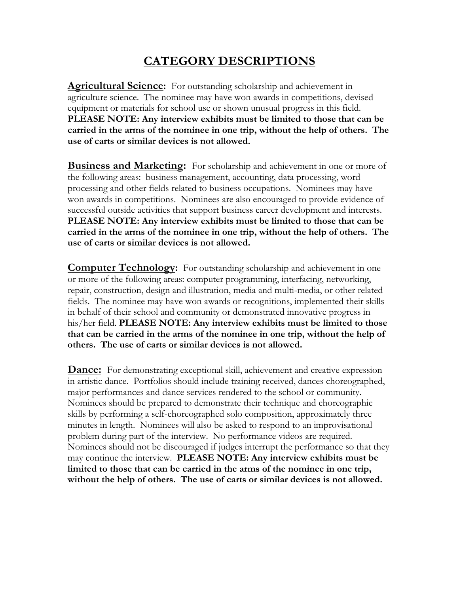## **CATEGORY DESCRIPTIONS**

**Agricultural Science:** For outstanding scholarship and achievement in agriculture science. The nominee may have won awards in competitions, devised equipment or materials for school use or shown unusual progress in this field. **PLEASE NOTE: Any interview exhibits must be limited to those that can be carried in the arms of the nominee in one trip, without the help of others. The use of carts or similar devices is not allowed.**

**Business and Marketing:** For scholarship and achievement in one or more of the following areas: business management, accounting, data processing, word processing and other fields related to business occupations. Nominees may have won awards in competitions. Nominees are also encouraged to provide evidence of successful outside activities that support business career development and interests. **PLEASE NOTE: Any interview exhibits must be limited to those that can be carried in the arms of the nominee in one trip, without the help of others. The use of carts or similar devices is not allowed.**

**Computer Technology:** For outstanding scholarship and achievement in one or more of the following areas: computer programming, interfacing, networking, repair, construction, design and illustration, media and multi-media, or other related fields. The nominee may have won awards or recognitions, implemented their skills in behalf of their school and community or demonstrated innovative progress in his/her field. **PLEASE NOTE: Any interview exhibits must be limited to those that can be carried in the arms of the nominee in one trip, without the help of others. The use of carts or similar devices is not allowed.**

**Dance:** For demonstrating exceptional skill, achievement and creative expression in artistic dance. Portfolios should include training received, dances choreographed, major performances and dance services rendered to the school or community. Nominees should be prepared to demonstrate their technique and choreographic skills by performing a self-choreographed solo composition, approximately three minutes in length. Nominees will also be asked to respond to an improvisational problem during part of the interview. No performance videos are required. Nominees should not be discouraged if judges interrupt the performance so that they may continue the interview. **PLEASE NOTE: Any interview exhibits must be limited to those that can be carried in the arms of the nominee in one trip, without the help of others. The use of carts or similar devices is not allowed.**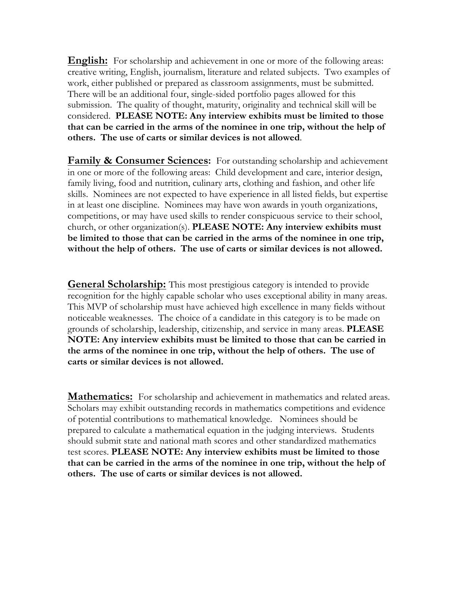**English:** For scholarship and achievement in one or more of the following areas: creative writing, English, journalism, literature and related subjects. Two examples of work, either published or prepared as classroom assignments, must be submitted. There will be an additional four, single-sided portfolio pages allowed for this submission. The quality of thought, maturity, originality and technical skill will be considered. **PLEASE NOTE: Any interview exhibits must be limited to those that can be carried in the arms of the nominee in one trip, without the help of others. The use of carts or similar devices is not allowed**.

**Family & Consumer Sciences:** For outstanding scholarship and achievement in one or more of the following areas: Child development and care, interior design, family living, food and nutrition, culinary arts, clothing and fashion, and other life skills. Nominees are not expected to have experience in all listed fields, but expertise in at least one discipline. Nominees may have won awards in youth organizations, competitions, or may have used skills to render conspicuous service to their school, church, or other organization(s). **PLEASE NOTE: Any interview exhibits must be limited to those that can be carried in the arms of the nominee in one trip, without the help of others. The use of carts or similar devices is not allowed.**

**General Scholarship:** This most prestigious category is intended to provide recognition for the highly capable scholar who uses exceptional ability in many areas. This MVP of scholarship must have achieved high excellence in many fields without noticeable weaknesses. The choice of a candidate in this category is to be made on grounds of scholarship, leadership, citizenship, and service in many areas. **PLEASE NOTE: Any interview exhibits must be limited to those that can be carried in the arms of the nominee in one trip, without the help of others. The use of carts or similar devices is not allowed.**

**Mathematics:** For scholarship and achievement in mathematics and related areas. Scholars may exhibit outstanding records in mathematics competitions and evidence of potential contributions to mathematical knowledge. Nominees should be prepared to calculate a mathematical equation in the judging interviews. Students should submit state and national math scores and other standardized mathematics test scores. **PLEASE NOTE: Any interview exhibits must be limited to those that can be carried in the arms of the nominee in one trip, without the help of others. The use of carts or similar devices is not allowed.**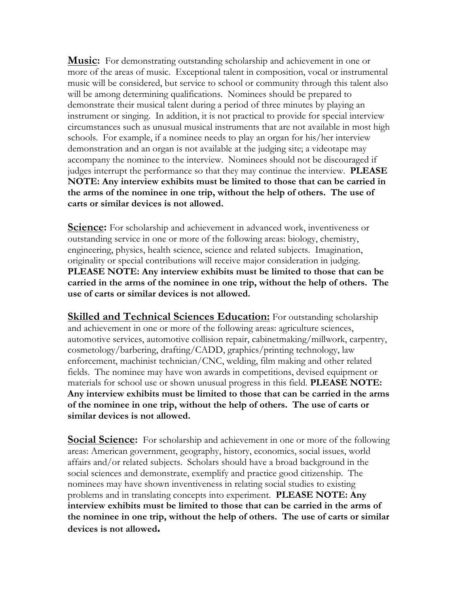**Music:** For demonstrating outstanding scholarship and achievement in one or more of the areas of music. Exceptional talent in composition, vocal or instrumental music will be considered, but service to school or community through this talent also will be among determining qualifications. Nominees should be prepared to demonstrate their musical talent during a period of three minutes by playing an instrument or singing. In addition, it is not practical to provide for special interview circumstances such as unusual musical instruments that are not available in most high schools. For example, if a nominee needs to play an organ for his/her interview demonstration and an organ is not available at the judging site; a videotape may accompany the nominee to the interview. Nominees should not be discouraged if judges interrupt the performance so that they may continue the interview. **PLEASE NOTE: Any interview exhibits must be limited to those that can be carried in the arms of the nominee in one trip, without the help of others. The use of carts or similar devices is not allowed.**

**Science:** For scholarship and achievement in advanced work, inventiveness or outstanding service in one or more of the following areas: biology, chemistry, engineering, physics, health science, science and related subjects. Imagination, originality or special contributions will receive major consideration in judging. **PLEASE NOTE: Any interview exhibits must be limited to those that can be carried in the arms of the nominee in one trip, without the help of others. The use of carts or similar devices is not allowed.**

**Skilled and Technical Sciences Education:** For outstanding scholarship and achievement in one or more of the following areas: agriculture sciences, automotive services, automotive collision repair, cabinetmaking/millwork, carpentry, cosmetology/barbering, drafting/CADD, graphics/printing technology, law enforcement, machinist technician/CNC, welding, film making and other related fields. The nominee may have won awards in competitions, devised equipment or materials for school use or shown unusual progress in this field. **PLEASE NOTE: Any interview exhibits must be limited to those that can be carried in the arms of the nominee in one trip, without the help of others. The use of carts or similar devices is not allowed.**

**Social Science:** For scholarship and achievement in one or more of the following areas: American government, geography, history, economics, social issues, world affairs and/or related subjects. Scholars should have a broad background in the social sciences and demonstrate, exemplify and practice good citizenship. The nominees may have shown inventiveness in relating social studies to existing problems and in translating concepts into experiment. **PLEASE NOTE: Any interview exhibits must be limited to those that can be carried in the arms of the nominee in one trip, without the help of others. The use of carts or similar devices is not allowed.**